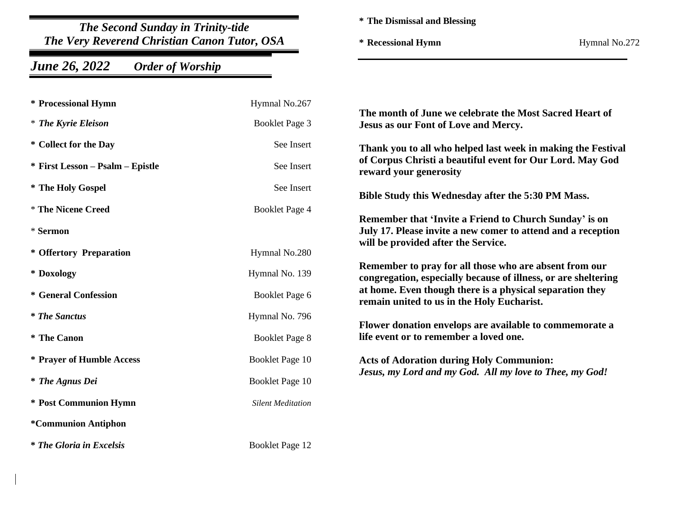*The Second Sunday in Trinity-tide The Very Reverend Christian Canon Tutor, OSA*

## *June 26, 2022 Order of Worship*

**\* The Dismissal and Blessing**

**\* Recessional Hymn** Hymnal No.272

| * Processional Hymn              | Hymnal No.267            | The month of June we celebrate the Most Sacred Heart of<br>Jesus as our Font of Love and Mercy.                                                               |
|----------------------------------|--------------------------|---------------------------------------------------------------------------------------------------------------------------------------------------------------|
| <i>* The Kyrie Eleison</i>       | Booklet Page 3           |                                                                                                                                                               |
| * Collect for the Day            | See Insert               | Thank you to all who helped last week in making the Festival<br>of Corpus Christi a beautiful event for Our Lord. May God<br>reward your generosity           |
| * First Lesson – Psalm – Epistle | See Insert               |                                                                                                                                                               |
| * The Holy Gospel                | See Insert               | Bible Study this Wednesday after the 5:30 PM Mass.                                                                                                            |
| * The Nicene Creed               | Booklet Page 4           |                                                                                                                                                               |
| * Sermon                         |                          | Remember that 'Invite a Friend to Church Sunday' is on<br>July 17. Please invite a new comer to attend and a reception<br>will be provided after the Service. |
| * Offertory Preparation          | Hymnal No.280            |                                                                                                                                                               |
| * Doxology                       | Hymnal No. 139           | Remember to pray for all those who are absent from our<br>congregation, especially because of illness, or are sheltering                                      |
| * General Confession             | Booklet Page 6           | at home. Even though there is a physical separation they<br>remain united to us in the Holy Eucharist.                                                        |
| <i><b>* The Sanctus</b></i>      | Hymnal No. 796           | Flower donation envelops are available to commemorate a<br>life event or to remember a loved one.                                                             |
| * The Canon                      | <b>Booklet Page 8</b>    |                                                                                                                                                               |
| * Prayer of Humble Access        | <b>Booklet Page 10</b>   | <b>Acts of Adoration during Holy Communion:</b><br>Jesus, my Lord and my God. All my love to Thee, my God!                                                    |
| <i>* The Agnus Dei</i>           | Booklet Page 10          |                                                                                                                                                               |
| * Post Communion Hymn            | <b>Silent Meditation</b> |                                                                                                                                                               |
| *Communion Antiphon              |                          |                                                                                                                                                               |
| <i>* The Gloria in Excelsis</i>  | Booklet Page 12          |                                                                                                                                                               |